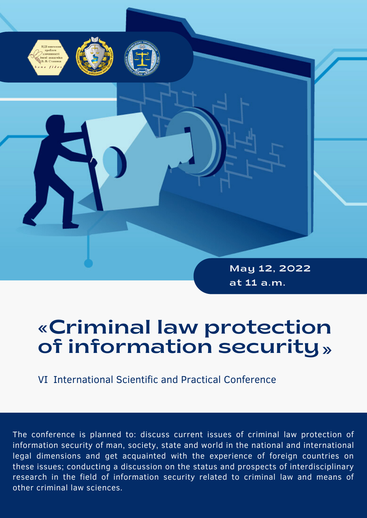

May 12, 2022 at 11 a.m.

# «Criminal law protection of information security»

VІ International Scientific and Practical Conference

The conference is planned to: discuss current issues of criminal law protection of information security of man, society, state and world in the national and international legal dimensions and get acquainted with the experience of foreign countries on these issues; conducting a discussion on the status and prospects of interdisciplinary research in the field of information security related to criminal law and means of other criminal law sciences.